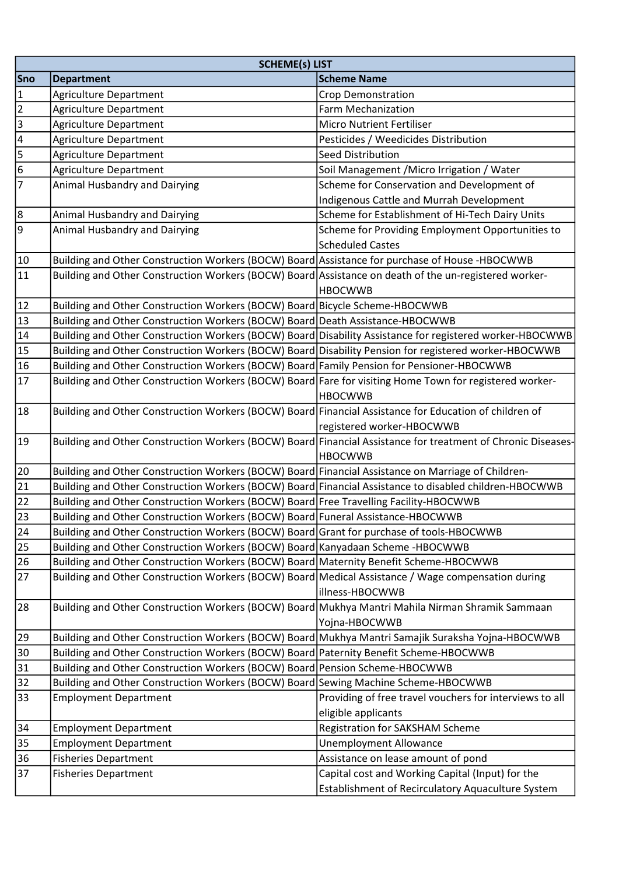|                | <b>SCHEME(s) LIST</b>                                                                                        |                                                                                |  |
|----------------|--------------------------------------------------------------------------------------------------------------|--------------------------------------------------------------------------------|--|
| <b>Sno</b>     | <b>Department</b>                                                                                            | <b>Scheme Name</b>                                                             |  |
| $\mathbf{1}$   | <b>Agriculture Department</b>                                                                                | Crop Demonstration                                                             |  |
| $\overline{2}$ | <b>Agriculture Department</b>                                                                                | Farm Mechanization                                                             |  |
| m              | Agriculture Department                                                                                       | <b>Micro Nutrient Fertiliser</b>                                               |  |
| $\overline{4}$ | <b>Agriculture Department</b>                                                                                | Pesticides / Weedicides Distribution                                           |  |
| 5              | <b>Agriculture Department</b>                                                                                | <b>Seed Distribution</b>                                                       |  |
| 6              | <b>Agriculture Department</b>                                                                                | Soil Management / Micro Irrigation / Water                                     |  |
| $\overline{7}$ | <b>Animal Husbandry and Dairying</b>                                                                         | Scheme for Conservation and Development of                                     |  |
|                |                                                                                                              | <b>Indigenous Cattle and Murrah Development</b>                                |  |
| 8              | Animal Husbandry and Dairying                                                                                | Scheme for Establishment of Hi-Tech Dairy Units                                |  |
| 9              | Animal Husbandry and Dairying                                                                                | Scheme for Providing Employment Opportunities to<br><b>Scheduled Castes</b>    |  |
| $10\,$         | Building and Other Construction Workers (BOCW) Board Assistance for purchase of House -HBOCWWB               |                                                                                |  |
| 11             | Building and Other Construction Workers (BOCW) Board Assistance on death of the un-registered worker-        |                                                                                |  |
|                |                                                                                                              | <b>HBOCWWB</b>                                                                 |  |
| 12             | Building and Other Construction Workers (BOCW) Board Bicycle Scheme-HBOCWWB                                  |                                                                                |  |
| 13             | Building and Other Construction Workers (BOCW) Board Death Assistance-HBOCWWB                                |                                                                                |  |
| $14\,$         | Building and Other Construction Workers (BOCW) Board Disability Assistance for registered worker-HBOCWWB     |                                                                                |  |
| 15             | Building and Other Construction Workers (BOCW) Board Disability Pension for registered worker-HBOCWWB        |                                                                                |  |
| 16             | Building and Other Construction Workers (BOCW) Board Family Pension for Pensioner-HBOCWWB                    |                                                                                |  |
| 17             | Building and Other Construction Workers (BOCW) Board Fare for visiting Home Town for registered worker-      | <b>HBOCWWB</b>                                                                 |  |
| 18             | Building and Other Construction Workers (BOCW) Board Financial Assistance for Education of children of       |                                                                                |  |
|                |                                                                                                              | registered worker-HBOCWWB                                                      |  |
| 19             | Building and Other Construction Workers (BOCW) Board Financial Assistance for treatment of Chronic Diseases- | <b>HBOCWWB</b>                                                                 |  |
| 20             | Building and Other Construction Workers (BOCW) Board Financial Assistance on Marriage of Children-           |                                                                                |  |
| 21             | Building and Other Construction Workers (BOCW) Board Financial Assistance to disabled children-HBOCWWB       |                                                                                |  |
| 22             | Building and Other Construction Workers (BOCW) Board Free Travelling Facility-HBOCWWB                        |                                                                                |  |
| 23             | Building and Other Construction Workers (BOCW) Board Funeral Assistance-HBOCWWB                              |                                                                                |  |
| 24             | Building and Other Construction Workers (BOCW) Board Grant for purchase of tools-HBOCWWB                     |                                                                                |  |
| 25             | Building and Other Construction Workers (BOCW) Board Kanyadaan Scheme -HBOCWWB                               |                                                                                |  |
| 26             | Building and Other Construction Workers (BOCW) Board Maternity Benefit Scheme-HBOCWWB                        |                                                                                |  |
| 27             | Building and Other Construction Workers (BOCW) Board Medical Assistance / Wage compensation during           |                                                                                |  |
|                |                                                                                                              | illness-HBOCWWB                                                                |  |
| 28             | Building and Other Construction Workers (BOCW) Board Mukhya Mantri Mahila Nirman Shramik Sammaan             |                                                                                |  |
|                |                                                                                                              | Yojna-HBOCWWB                                                                  |  |
| 29             | Building and Other Construction Workers (BOCW) Board Mukhya Mantri Samajik Suraksha Yojna-HBOCWWB            |                                                                                |  |
| 30             | Building and Other Construction Workers (BOCW) Board Paternity Benefit Scheme-HBOCWWB                        |                                                                                |  |
| 31             | Building and Other Construction Workers (BOCW) Board Pension Scheme-HBOCWWB                                  |                                                                                |  |
| 32             | Building and Other Construction Workers (BOCW) Board Sewing Machine Scheme-HBOCWWB                           |                                                                                |  |
| 33             | <b>Employment Department</b>                                                                                 | Providing of free travel vouchers for interviews to all<br>eligible applicants |  |
| 34             | <b>Employment Department</b>                                                                                 | Registration for SAKSHAM Scheme                                                |  |
| 35             | <b>Employment Department</b>                                                                                 | <b>Unemployment Allowance</b>                                                  |  |
| 36             | <b>Fisheries Department</b>                                                                                  | Assistance on lease amount of pond                                             |  |
| 37             | <b>Fisheries Department</b>                                                                                  | Capital cost and Working Capital (Input) for the                               |  |
|                |                                                                                                              | Establishment of Recirculatory Aquaculture System                              |  |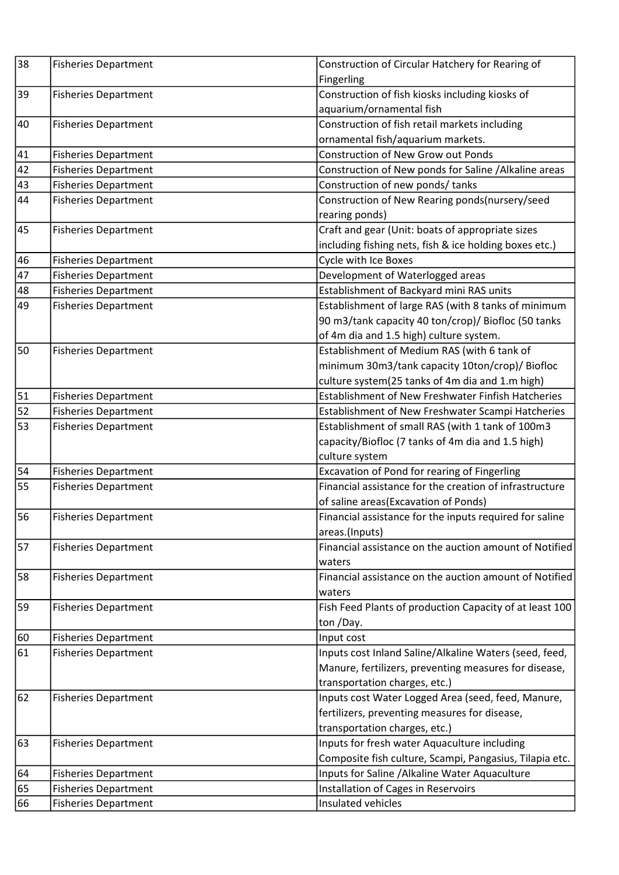| 38          | <b>Fisheries Department</b> | Construction of Circular Hatchery for Rearing of        |
|-------------|-----------------------------|---------------------------------------------------------|
|             |                             | Fingerling                                              |
| 39          | <b>Fisheries Department</b> | Construction of fish kiosks including kiosks of         |
|             |                             | aquarium/ornamental fish                                |
| 40          | <b>Fisheries Department</b> | Construction of fish retail markets including           |
|             |                             | ornamental fish/aquarium markets.                       |
| 41          | <b>Fisheries Department</b> | <b>Construction of New Grow out Ponds</b>               |
| 42          | <b>Fisheries Department</b> | Construction of New ponds for Saline / Alkaline areas   |
| 43          | <b>Fisheries Department</b> | Construction of new ponds/ tanks                        |
| 44          | <b>Fisheries Department</b> | Construction of New Rearing ponds(nursery/seed          |
|             |                             | rearing ponds)                                          |
| 45          | <b>Fisheries Department</b> | Craft and gear (Unit: boats of appropriate sizes        |
|             |                             | including fishing nets, fish & ice holding boxes etc.)  |
| 46          | <b>Fisheries Department</b> | Cycle with Ice Boxes                                    |
| 47          | <b>Fisheries Department</b> | Development of Waterlogged areas                        |
| 48          | <b>Fisheries Department</b> | Establishment of Backyard mini RAS units                |
| 49          | <b>Fisheries Department</b> | Establishment of large RAS (with 8 tanks of minimum     |
|             |                             | 90 m3/tank capacity 40 ton/crop)/ Biofloc (50 tanks     |
|             |                             | of 4m dia and 1.5 high) culture system.                 |
| 50          | <b>Fisheries Department</b> | Establishment of Medium RAS (with 6 tank of             |
|             |                             | minimum 30m3/tank capacity 10ton/crop)/ Biofloc         |
|             |                             | culture system(25 tanks of 4m dia and 1.m high)         |
| $\sqrt{51}$ | <b>Fisheries Department</b> | Establishment of New Freshwater Finfish Hatcheries      |
| 52          | <b>Fisheries Department</b> | Establishment of New Freshwater Scampi Hatcheries       |
| 53          | <b>Fisheries Department</b> | Establishment of small RAS (with 1 tank of 100m3        |
|             |                             | capacity/Biofloc (7 tanks of 4m dia and 1.5 high)       |
|             |                             | culture system                                          |
| 54          | <b>Fisheries Department</b> | Excavation of Pond for rearing of Fingerling            |
| 55          | <b>Fisheries Department</b> | Financial assistance for the creation of infrastructure |
|             |                             | of saline areas(Excavation of Ponds)                    |
| 56          | <b>Fisheries Department</b> | Financial assistance for the inputs required for saline |
|             |                             | areas.(Inputs)                                          |
| 57          | <b>Fisheries Department</b> | Financial assistance on the auction amount of Notified  |
|             |                             | waters                                                  |
| 58          | <b>Fisheries Department</b> | Financial assistance on the auction amount of Notified  |
|             |                             | waters                                                  |
| 59          | <b>Fisheries Department</b> | Fish Feed Plants of production Capacity of at least 100 |
|             |                             | ton /Day.                                               |
| 60          | <b>Fisheries Department</b> | Input cost                                              |
| 61          | <b>Fisheries Department</b> | Inputs cost Inland Saline/Alkaline Waters (seed, feed,  |
|             |                             | Manure, fertilizers, preventing measures for disease,   |
|             |                             | transportation charges, etc.)                           |
| 62          | <b>Fisheries Department</b> | Inputs cost Water Logged Area (seed, feed, Manure,      |
|             |                             | fertilizers, preventing measures for disease,           |
|             |                             | transportation charges, etc.)                           |
| 63          | <b>Fisheries Department</b> | Inputs for fresh water Aquaculture including            |
|             |                             | Composite fish culture, Scampi, Pangasius, Tilapia etc. |
| 64          | <b>Fisheries Department</b> | Inputs for Saline / Alkaline Water Aquaculture          |
| 65          | <b>Fisheries Department</b> | Installation of Cages in Reservoirs                     |
| 66          | <b>Fisheries Department</b> | Insulated vehicles                                      |
|             |                             |                                                         |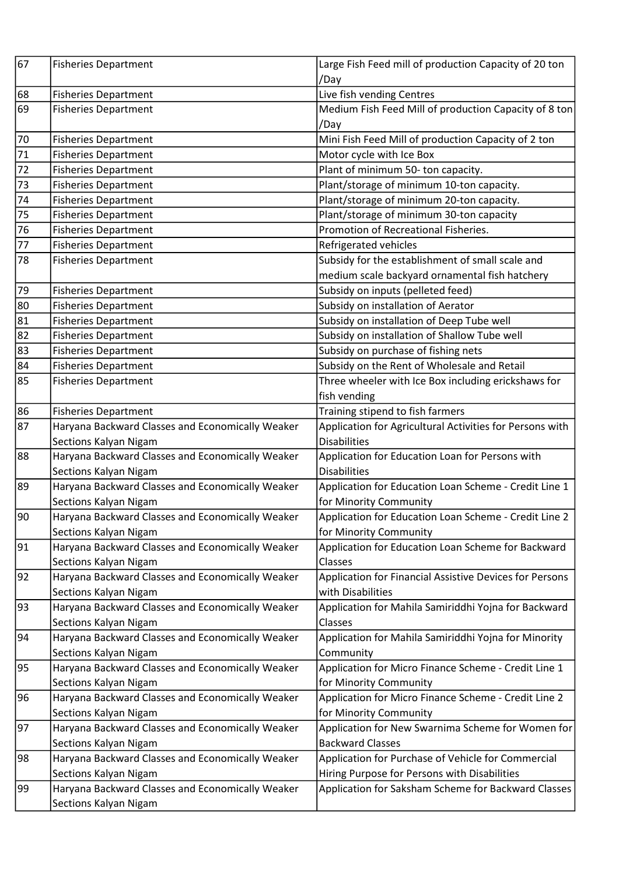| /Day<br>Live fish vending Centres<br><b>Fisheries Department</b><br>Medium Fish Feed Mill of production Capacity of 8 ton<br><b>Fisheries Department</b><br>/Day<br>Mini Fish Feed Mill of production Capacity of 2 ton<br><b>Fisheries Department</b><br>Motor cycle with Ice Box<br><b>Fisheries Department</b><br>Plant of minimum 50- ton capacity.<br><b>Fisheries Department</b><br>Plant/storage of minimum 10-ton capacity.<br><b>Fisheries Department</b><br>Plant/storage of minimum 20-ton capacity.<br><b>Fisheries Department</b><br>Plant/storage of minimum 30-ton capacity<br><b>Fisheries Department</b><br>Promotion of Recreational Fisheries.<br><b>Fisheries Department</b><br>Refrigerated vehicles<br><b>Fisheries Department</b><br>Subsidy for the establishment of small scale and<br><b>Fisheries Department</b><br>medium scale backyard ornamental fish hatchery<br>79<br>Subsidy on inputs (pelleted feed)<br><b>Fisheries Department</b><br>Subsidy on installation of Aerator<br><b>Fisheries Department</b><br>81<br>Subsidy on installation of Deep Tube well<br><b>Fisheries Department</b><br>82<br>Subsidy on installation of Shallow Tube well<br><b>Fisheries Department</b><br>$\overline{83}$<br><b>Fisheries Department</b><br>Subsidy on purchase of fishing nets<br>Subsidy on the Rent of Wholesale and Retail<br><b>Fisheries Department</b><br>Three wheeler with Ice Box including erickshaws for<br><b>Fisheries Department</b><br>fish vending<br>86<br>Training stipend to fish farmers<br><b>Fisheries Department</b><br>Haryana Backward Classes and Economically Weaker<br>Application for Agricultural Activities for Persons with<br>Sections Kalyan Nigam<br><b>Disabilities</b><br>Haryana Backward Classes and Economically Weaker<br>Application for Education Loan for Persons with<br><b>Disabilities</b><br>Sections Kalyan Nigam<br>Haryana Backward Classes and Economically Weaker<br>Application for Education Loan Scheme - Credit Line 1<br>for Minority Community<br>Sections Kalyan Nigam<br>Application for Education Loan Scheme - Credit Line 2<br>Haryana Backward Classes and Economically Weaker<br>for Minority Community<br>Sections Kalyan Nigam<br>Haryana Backward Classes and Economically Weaker<br>Application for Education Loan Scheme for Backward<br>Sections Kalyan Nigam<br>Classes<br>Haryana Backward Classes and Economically Weaker<br>Application for Financial Assistive Devices for Persons<br>Sections Kalyan Nigam<br>with Disabilities<br>Haryana Backward Classes and Economically Weaker<br>Application for Mahila Samiriddhi Yojna for Backward<br>Sections Kalyan Nigam<br>Classes<br>Haryana Backward Classes and Economically Weaker<br>Application for Mahila Samiriddhi Yojna for Minority<br>Sections Kalyan Nigam<br>Community<br>Haryana Backward Classes and Economically Weaker<br>Application for Micro Finance Scheme - Credit Line 1<br>Sections Kalyan Nigam<br>for Minority Community<br>Haryana Backward Classes and Economically Weaker<br>Application for Micro Finance Scheme - Credit Line 2<br>Sections Kalyan Nigam<br>for Minority Community<br>Haryana Backward Classes and Economically Weaker<br>Application for New Swarnima Scheme for Women for<br><b>Backward Classes</b><br>Sections Kalyan Nigam<br>Haryana Backward Classes and Economically Weaker<br>Application for Purchase of Vehicle for Commercial<br>Hiring Purpose for Persons with Disabilities<br>Sections Kalyan Nigam<br>Haryana Backward Classes and Economically Weaker<br>Application for Saksham Scheme for Backward Classes | 67              | <b>Fisheries Department</b> | Large Fish Feed mill of production Capacity of 20 ton |
|----------------------------------------------------------------------------------------------------------------------------------------------------------------------------------------------------------------------------------------------------------------------------------------------------------------------------------------------------------------------------------------------------------------------------------------------------------------------------------------------------------------------------------------------------------------------------------------------------------------------------------------------------------------------------------------------------------------------------------------------------------------------------------------------------------------------------------------------------------------------------------------------------------------------------------------------------------------------------------------------------------------------------------------------------------------------------------------------------------------------------------------------------------------------------------------------------------------------------------------------------------------------------------------------------------------------------------------------------------------------------------------------------------------------------------------------------------------------------------------------------------------------------------------------------------------------------------------------------------------------------------------------------------------------------------------------------------------------------------------------------------------------------------------------------------------------------------------------------------------------------------------------------------------------------------------------------------------------------------------------------------------------------------------------------------------------------------------------------------------------------------------------------------------------------------------------------------------------------------------------------------------------------------------------------------------------------------------------------------------------------------------------------------------------------------------------------------------------------------------------------------------------------------------------------------------------------------------------------------------------------------------------------------------------------------------------------------------------------------------------------------------------------------------------------------------------------------------------------------------------------------------------------------------------------------------------------------------------------------------------------------------------------------------------------------------------------------------------------------------------------------------------------------------------------------------------------------------------------------------------------------------------------------------------------------------------------------------------------------------------------------------------------------------------------------------------------------------------------------------------------------------------------------------------------------------------------------------------------------------------------------------|-----------------|-----------------------------|-------------------------------------------------------|
|                                                                                                                                                                                                                                                                                                                                                                                                                                                                                                                                                                                                                                                                                                                                                                                                                                                                                                                                                                                                                                                                                                                                                                                                                                                                                                                                                                                                                                                                                                                                                                                                                                                                                                                                                                                                                                                                                                                                                                                                                                                                                                                                                                                                                                                                                                                                                                                                                                                                                                                                                                                                                                                                                                                                                                                                                                                                                                                                                                                                                                                                                                                                                                                                                                                                                                                                                                                                                                                                                                                                                                                                                                        |                 |                             |                                                       |
|                                                                                                                                                                                                                                                                                                                                                                                                                                                                                                                                                                                                                                                                                                                                                                                                                                                                                                                                                                                                                                                                                                                                                                                                                                                                                                                                                                                                                                                                                                                                                                                                                                                                                                                                                                                                                                                                                                                                                                                                                                                                                                                                                                                                                                                                                                                                                                                                                                                                                                                                                                                                                                                                                                                                                                                                                                                                                                                                                                                                                                                                                                                                                                                                                                                                                                                                                                                                                                                                                                                                                                                                                                        | 68              |                             |                                                       |
|                                                                                                                                                                                                                                                                                                                                                                                                                                                                                                                                                                                                                                                                                                                                                                                                                                                                                                                                                                                                                                                                                                                                                                                                                                                                                                                                                                                                                                                                                                                                                                                                                                                                                                                                                                                                                                                                                                                                                                                                                                                                                                                                                                                                                                                                                                                                                                                                                                                                                                                                                                                                                                                                                                                                                                                                                                                                                                                                                                                                                                                                                                                                                                                                                                                                                                                                                                                                                                                                                                                                                                                                                                        | 69              |                             |                                                       |
|                                                                                                                                                                                                                                                                                                                                                                                                                                                                                                                                                                                                                                                                                                                                                                                                                                                                                                                                                                                                                                                                                                                                                                                                                                                                                                                                                                                                                                                                                                                                                                                                                                                                                                                                                                                                                                                                                                                                                                                                                                                                                                                                                                                                                                                                                                                                                                                                                                                                                                                                                                                                                                                                                                                                                                                                                                                                                                                                                                                                                                                                                                                                                                                                                                                                                                                                                                                                                                                                                                                                                                                                                                        |                 |                             |                                                       |
|                                                                                                                                                                                                                                                                                                                                                                                                                                                                                                                                                                                                                                                                                                                                                                                                                                                                                                                                                                                                                                                                                                                                                                                                                                                                                                                                                                                                                                                                                                                                                                                                                                                                                                                                                                                                                                                                                                                                                                                                                                                                                                                                                                                                                                                                                                                                                                                                                                                                                                                                                                                                                                                                                                                                                                                                                                                                                                                                                                                                                                                                                                                                                                                                                                                                                                                                                                                                                                                                                                                                                                                                                                        | 70              |                             |                                                       |
|                                                                                                                                                                                                                                                                                                                                                                                                                                                                                                                                                                                                                                                                                                                                                                                                                                                                                                                                                                                                                                                                                                                                                                                                                                                                                                                                                                                                                                                                                                                                                                                                                                                                                                                                                                                                                                                                                                                                                                                                                                                                                                                                                                                                                                                                                                                                                                                                                                                                                                                                                                                                                                                                                                                                                                                                                                                                                                                                                                                                                                                                                                                                                                                                                                                                                                                                                                                                                                                                                                                                                                                                                                        | 71              |                             |                                                       |
|                                                                                                                                                                                                                                                                                                                                                                                                                                                                                                                                                                                                                                                                                                                                                                                                                                                                                                                                                                                                                                                                                                                                                                                                                                                                                                                                                                                                                                                                                                                                                                                                                                                                                                                                                                                                                                                                                                                                                                                                                                                                                                                                                                                                                                                                                                                                                                                                                                                                                                                                                                                                                                                                                                                                                                                                                                                                                                                                                                                                                                                                                                                                                                                                                                                                                                                                                                                                                                                                                                                                                                                                                                        | $\overline{72}$ |                             |                                                       |
|                                                                                                                                                                                                                                                                                                                                                                                                                                                                                                                                                                                                                                                                                                                                                                                                                                                                                                                                                                                                                                                                                                                                                                                                                                                                                                                                                                                                                                                                                                                                                                                                                                                                                                                                                                                                                                                                                                                                                                                                                                                                                                                                                                                                                                                                                                                                                                                                                                                                                                                                                                                                                                                                                                                                                                                                                                                                                                                                                                                                                                                                                                                                                                                                                                                                                                                                                                                                                                                                                                                                                                                                                                        | 73              |                             |                                                       |
|                                                                                                                                                                                                                                                                                                                                                                                                                                                                                                                                                                                                                                                                                                                                                                                                                                                                                                                                                                                                                                                                                                                                                                                                                                                                                                                                                                                                                                                                                                                                                                                                                                                                                                                                                                                                                                                                                                                                                                                                                                                                                                                                                                                                                                                                                                                                                                                                                                                                                                                                                                                                                                                                                                                                                                                                                                                                                                                                                                                                                                                                                                                                                                                                                                                                                                                                                                                                                                                                                                                                                                                                                                        | 74              |                             |                                                       |
|                                                                                                                                                                                                                                                                                                                                                                                                                                                                                                                                                                                                                                                                                                                                                                                                                                                                                                                                                                                                                                                                                                                                                                                                                                                                                                                                                                                                                                                                                                                                                                                                                                                                                                                                                                                                                                                                                                                                                                                                                                                                                                                                                                                                                                                                                                                                                                                                                                                                                                                                                                                                                                                                                                                                                                                                                                                                                                                                                                                                                                                                                                                                                                                                                                                                                                                                                                                                                                                                                                                                                                                                                                        | 75              |                             |                                                       |
|                                                                                                                                                                                                                                                                                                                                                                                                                                                                                                                                                                                                                                                                                                                                                                                                                                                                                                                                                                                                                                                                                                                                                                                                                                                                                                                                                                                                                                                                                                                                                                                                                                                                                                                                                                                                                                                                                                                                                                                                                                                                                                                                                                                                                                                                                                                                                                                                                                                                                                                                                                                                                                                                                                                                                                                                                                                                                                                                                                                                                                                                                                                                                                                                                                                                                                                                                                                                                                                                                                                                                                                                                                        | 76              |                             |                                                       |
|                                                                                                                                                                                                                                                                                                                                                                                                                                                                                                                                                                                                                                                                                                                                                                                                                                                                                                                                                                                                                                                                                                                                                                                                                                                                                                                                                                                                                                                                                                                                                                                                                                                                                                                                                                                                                                                                                                                                                                                                                                                                                                                                                                                                                                                                                                                                                                                                                                                                                                                                                                                                                                                                                                                                                                                                                                                                                                                                                                                                                                                                                                                                                                                                                                                                                                                                                                                                                                                                                                                                                                                                                                        | 77              |                             |                                                       |
|                                                                                                                                                                                                                                                                                                                                                                                                                                                                                                                                                                                                                                                                                                                                                                                                                                                                                                                                                                                                                                                                                                                                                                                                                                                                                                                                                                                                                                                                                                                                                                                                                                                                                                                                                                                                                                                                                                                                                                                                                                                                                                                                                                                                                                                                                                                                                                                                                                                                                                                                                                                                                                                                                                                                                                                                                                                                                                                                                                                                                                                                                                                                                                                                                                                                                                                                                                                                                                                                                                                                                                                                                                        | 78              |                             |                                                       |
|                                                                                                                                                                                                                                                                                                                                                                                                                                                                                                                                                                                                                                                                                                                                                                                                                                                                                                                                                                                                                                                                                                                                                                                                                                                                                                                                                                                                                                                                                                                                                                                                                                                                                                                                                                                                                                                                                                                                                                                                                                                                                                                                                                                                                                                                                                                                                                                                                                                                                                                                                                                                                                                                                                                                                                                                                                                                                                                                                                                                                                                                                                                                                                                                                                                                                                                                                                                                                                                                                                                                                                                                                                        |                 |                             |                                                       |
|                                                                                                                                                                                                                                                                                                                                                                                                                                                                                                                                                                                                                                                                                                                                                                                                                                                                                                                                                                                                                                                                                                                                                                                                                                                                                                                                                                                                                                                                                                                                                                                                                                                                                                                                                                                                                                                                                                                                                                                                                                                                                                                                                                                                                                                                                                                                                                                                                                                                                                                                                                                                                                                                                                                                                                                                                                                                                                                                                                                                                                                                                                                                                                                                                                                                                                                                                                                                                                                                                                                                                                                                                                        |                 |                             |                                                       |
|                                                                                                                                                                                                                                                                                                                                                                                                                                                                                                                                                                                                                                                                                                                                                                                                                                                                                                                                                                                                                                                                                                                                                                                                                                                                                                                                                                                                                                                                                                                                                                                                                                                                                                                                                                                                                                                                                                                                                                                                                                                                                                                                                                                                                                                                                                                                                                                                                                                                                                                                                                                                                                                                                                                                                                                                                                                                                                                                                                                                                                                                                                                                                                                                                                                                                                                                                                                                                                                                                                                                                                                                                                        | 80              |                             |                                                       |
|                                                                                                                                                                                                                                                                                                                                                                                                                                                                                                                                                                                                                                                                                                                                                                                                                                                                                                                                                                                                                                                                                                                                                                                                                                                                                                                                                                                                                                                                                                                                                                                                                                                                                                                                                                                                                                                                                                                                                                                                                                                                                                                                                                                                                                                                                                                                                                                                                                                                                                                                                                                                                                                                                                                                                                                                                                                                                                                                                                                                                                                                                                                                                                                                                                                                                                                                                                                                                                                                                                                                                                                                                                        |                 |                             |                                                       |
|                                                                                                                                                                                                                                                                                                                                                                                                                                                                                                                                                                                                                                                                                                                                                                                                                                                                                                                                                                                                                                                                                                                                                                                                                                                                                                                                                                                                                                                                                                                                                                                                                                                                                                                                                                                                                                                                                                                                                                                                                                                                                                                                                                                                                                                                                                                                                                                                                                                                                                                                                                                                                                                                                                                                                                                                                                                                                                                                                                                                                                                                                                                                                                                                                                                                                                                                                                                                                                                                                                                                                                                                                                        |                 |                             |                                                       |
|                                                                                                                                                                                                                                                                                                                                                                                                                                                                                                                                                                                                                                                                                                                                                                                                                                                                                                                                                                                                                                                                                                                                                                                                                                                                                                                                                                                                                                                                                                                                                                                                                                                                                                                                                                                                                                                                                                                                                                                                                                                                                                                                                                                                                                                                                                                                                                                                                                                                                                                                                                                                                                                                                                                                                                                                                                                                                                                                                                                                                                                                                                                                                                                                                                                                                                                                                                                                                                                                                                                                                                                                                                        |                 |                             |                                                       |
|                                                                                                                                                                                                                                                                                                                                                                                                                                                                                                                                                                                                                                                                                                                                                                                                                                                                                                                                                                                                                                                                                                                                                                                                                                                                                                                                                                                                                                                                                                                                                                                                                                                                                                                                                                                                                                                                                                                                                                                                                                                                                                                                                                                                                                                                                                                                                                                                                                                                                                                                                                                                                                                                                                                                                                                                                                                                                                                                                                                                                                                                                                                                                                                                                                                                                                                                                                                                                                                                                                                                                                                                                                        | 84              |                             |                                                       |
|                                                                                                                                                                                                                                                                                                                                                                                                                                                                                                                                                                                                                                                                                                                                                                                                                                                                                                                                                                                                                                                                                                                                                                                                                                                                                                                                                                                                                                                                                                                                                                                                                                                                                                                                                                                                                                                                                                                                                                                                                                                                                                                                                                                                                                                                                                                                                                                                                                                                                                                                                                                                                                                                                                                                                                                                                                                                                                                                                                                                                                                                                                                                                                                                                                                                                                                                                                                                                                                                                                                                                                                                                                        | 85              |                             |                                                       |
|                                                                                                                                                                                                                                                                                                                                                                                                                                                                                                                                                                                                                                                                                                                                                                                                                                                                                                                                                                                                                                                                                                                                                                                                                                                                                                                                                                                                                                                                                                                                                                                                                                                                                                                                                                                                                                                                                                                                                                                                                                                                                                                                                                                                                                                                                                                                                                                                                                                                                                                                                                                                                                                                                                                                                                                                                                                                                                                                                                                                                                                                                                                                                                                                                                                                                                                                                                                                                                                                                                                                                                                                                                        |                 |                             |                                                       |
|                                                                                                                                                                                                                                                                                                                                                                                                                                                                                                                                                                                                                                                                                                                                                                                                                                                                                                                                                                                                                                                                                                                                                                                                                                                                                                                                                                                                                                                                                                                                                                                                                                                                                                                                                                                                                                                                                                                                                                                                                                                                                                                                                                                                                                                                                                                                                                                                                                                                                                                                                                                                                                                                                                                                                                                                                                                                                                                                                                                                                                                                                                                                                                                                                                                                                                                                                                                                                                                                                                                                                                                                                                        |                 |                             |                                                       |
|                                                                                                                                                                                                                                                                                                                                                                                                                                                                                                                                                                                                                                                                                                                                                                                                                                                                                                                                                                                                                                                                                                                                                                                                                                                                                                                                                                                                                                                                                                                                                                                                                                                                                                                                                                                                                                                                                                                                                                                                                                                                                                                                                                                                                                                                                                                                                                                                                                                                                                                                                                                                                                                                                                                                                                                                                                                                                                                                                                                                                                                                                                                                                                                                                                                                                                                                                                                                                                                                                                                                                                                                                                        | 87              |                             |                                                       |
|                                                                                                                                                                                                                                                                                                                                                                                                                                                                                                                                                                                                                                                                                                                                                                                                                                                                                                                                                                                                                                                                                                                                                                                                                                                                                                                                                                                                                                                                                                                                                                                                                                                                                                                                                                                                                                                                                                                                                                                                                                                                                                                                                                                                                                                                                                                                                                                                                                                                                                                                                                                                                                                                                                                                                                                                                                                                                                                                                                                                                                                                                                                                                                                                                                                                                                                                                                                                                                                                                                                                                                                                                                        |                 |                             |                                                       |
|                                                                                                                                                                                                                                                                                                                                                                                                                                                                                                                                                                                                                                                                                                                                                                                                                                                                                                                                                                                                                                                                                                                                                                                                                                                                                                                                                                                                                                                                                                                                                                                                                                                                                                                                                                                                                                                                                                                                                                                                                                                                                                                                                                                                                                                                                                                                                                                                                                                                                                                                                                                                                                                                                                                                                                                                                                                                                                                                                                                                                                                                                                                                                                                                                                                                                                                                                                                                                                                                                                                                                                                                                                        | 88              |                             |                                                       |
|                                                                                                                                                                                                                                                                                                                                                                                                                                                                                                                                                                                                                                                                                                                                                                                                                                                                                                                                                                                                                                                                                                                                                                                                                                                                                                                                                                                                                                                                                                                                                                                                                                                                                                                                                                                                                                                                                                                                                                                                                                                                                                                                                                                                                                                                                                                                                                                                                                                                                                                                                                                                                                                                                                                                                                                                                                                                                                                                                                                                                                                                                                                                                                                                                                                                                                                                                                                                                                                                                                                                                                                                                                        |                 |                             |                                                       |
|                                                                                                                                                                                                                                                                                                                                                                                                                                                                                                                                                                                                                                                                                                                                                                                                                                                                                                                                                                                                                                                                                                                                                                                                                                                                                                                                                                                                                                                                                                                                                                                                                                                                                                                                                                                                                                                                                                                                                                                                                                                                                                                                                                                                                                                                                                                                                                                                                                                                                                                                                                                                                                                                                                                                                                                                                                                                                                                                                                                                                                                                                                                                                                                                                                                                                                                                                                                                                                                                                                                                                                                                                                        | 89              |                             |                                                       |
|                                                                                                                                                                                                                                                                                                                                                                                                                                                                                                                                                                                                                                                                                                                                                                                                                                                                                                                                                                                                                                                                                                                                                                                                                                                                                                                                                                                                                                                                                                                                                                                                                                                                                                                                                                                                                                                                                                                                                                                                                                                                                                                                                                                                                                                                                                                                                                                                                                                                                                                                                                                                                                                                                                                                                                                                                                                                                                                                                                                                                                                                                                                                                                                                                                                                                                                                                                                                                                                                                                                                                                                                                                        |                 |                             |                                                       |
|                                                                                                                                                                                                                                                                                                                                                                                                                                                                                                                                                                                                                                                                                                                                                                                                                                                                                                                                                                                                                                                                                                                                                                                                                                                                                                                                                                                                                                                                                                                                                                                                                                                                                                                                                                                                                                                                                                                                                                                                                                                                                                                                                                                                                                                                                                                                                                                                                                                                                                                                                                                                                                                                                                                                                                                                                                                                                                                                                                                                                                                                                                                                                                                                                                                                                                                                                                                                                                                                                                                                                                                                                                        | 90              |                             |                                                       |
|                                                                                                                                                                                                                                                                                                                                                                                                                                                                                                                                                                                                                                                                                                                                                                                                                                                                                                                                                                                                                                                                                                                                                                                                                                                                                                                                                                                                                                                                                                                                                                                                                                                                                                                                                                                                                                                                                                                                                                                                                                                                                                                                                                                                                                                                                                                                                                                                                                                                                                                                                                                                                                                                                                                                                                                                                                                                                                                                                                                                                                                                                                                                                                                                                                                                                                                                                                                                                                                                                                                                                                                                                                        |                 |                             |                                                       |
|                                                                                                                                                                                                                                                                                                                                                                                                                                                                                                                                                                                                                                                                                                                                                                                                                                                                                                                                                                                                                                                                                                                                                                                                                                                                                                                                                                                                                                                                                                                                                                                                                                                                                                                                                                                                                                                                                                                                                                                                                                                                                                                                                                                                                                                                                                                                                                                                                                                                                                                                                                                                                                                                                                                                                                                                                                                                                                                                                                                                                                                                                                                                                                                                                                                                                                                                                                                                                                                                                                                                                                                                                                        | 91              |                             |                                                       |
|                                                                                                                                                                                                                                                                                                                                                                                                                                                                                                                                                                                                                                                                                                                                                                                                                                                                                                                                                                                                                                                                                                                                                                                                                                                                                                                                                                                                                                                                                                                                                                                                                                                                                                                                                                                                                                                                                                                                                                                                                                                                                                                                                                                                                                                                                                                                                                                                                                                                                                                                                                                                                                                                                                                                                                                                                                                                                                                                                                                                                                                                                                                                                                                                                                                                                                                                                                                                                                                                                                                                                                                                                                        |                 |                             |                                                       |
|                                                                                                                                                                                                                                                                                                                                                                                                                                                                                                                                                                                                                                                                                                                                                                                                                                                                                                                                                                                                                                                                                                                                                                                                                                                                                                                                                                                                                                                                                                                                                                                                                                                                                                                                                                                                                                                                                                                                                                                                                                                                                                                                                                                                                                                                                                                                                                                                                                                                                                                                                                                                                                                                                                                                                                                                                                                                                                                                                                                                                                                                                                                                                                                                                                                                                                                                                                                                                                                                                                                                                                                                                                        | 92              |                             |                                                       |
|                                                                                                                                                                                                                                                                                                                                                                                                                                                                                                                                                                                                                                                                                                                                                                                                                                                                                                                                                                                                                                                                                                                                                                                                                                                                                                                                                                                                                                                                                                                                                                                                                                                                                                                                                                                                                                                                                                                                                                                                                                                                                                                                                                                                                                                                                                                                                                                                                                                                                                                                                                                                                                                                                                                                                                                                                                                                                                                                                                                                                                                                                                                                                                                                                                                                                                                                                                                                                                                                                                                                                                                                                                        |                 |                             |                                                       |
|                                                                                                                                                                                                                                                                                                                                                                                                                                                                                                                                                                                                                                                                                                                                                                                                                                                                                                                                                                                                                                                                                                                                                                                                                                                                                                                                                                                                                                                                                                                                                                                                                                                                                                                                                                                                                                                                                                                                                                                                                                                                                                                                                                                                                                                                                                                                                                                                                                                                                                                                                                                                                                                                                                                                                                                                                                                                                                                                                                                                                                                                                                                                                                                                                                                                                                                                                                                                                                                                                                                                                                                                                                        | 93              |                             |                                                       |
|                                                                                                                                                                                                                                                                                                                                                                                                                                                                                                                                                                                                                                                                                                                                                                                                                                                                                                                                                                                                                                                                                                                                                                                                                                                                                                                                                                                                                                                                                                                                                                                                                                                                                                                                                                                                                                                                                                                                                                                                                                                                                                                                                                                                                                                                                                                                                                                                                                                                                                                                                                                                                                                                                                                                                                                                                                                                                                                                                                                                                                                                                                                                                                                                                                                                                                                                                                                                                                                                                                                                                                                                                                        |                 |                             |                                                       |
|                                                                                                                                                                                                                                                                                                                                                                                                                                                                                                                                                                                                                                                                                                                                                                                                                                                                                                                                                                                                                                                                                                                                                                                                                                                                                                                                                                                                                                                                                                                                                                                                                                                                                                                                                                                                                                                                                                                                                                                                                                                                                                                                                                                                                                                                                                                                                                                                                                                                                                                                                                                                                                                                                                                                                                                                                                                                                                                                                                                                                                                                                                                                                                                                                                                                                                                                                                                                                                                                                                                                                                                                                                        | 94              |                             |                                                       |
|                                                                                                                                                                                                                                                                                                                                                                                                                                                                                                                                                                                                                                                                                                                                                                                                                                                                                                                                                                                                                                                                                                                                                                                                                                                                                                                                                                                                                                                                                                                                                                                                                                                                                                                                                                                                                                                                                                                                                                                                                                                                                                                                                                                                                                                                                                                                                                                                                                                                                                                                                                                                                                                                                                                                                                                                                                                                                                                                                                                                                                                                                                                                                                                                                                                                                                                                                                                                                                                                                                                                                                                                                                        |                 |                             |                                                       |
|                                                                                                                                                                                                                                                                                                                                                                                                                                                                                                                                                                                                                                                                                                                                                                                                                                                                                                                                                                                                                                                                                                                                                                                                                                                                                                                                                                                                                                                                                                                                                                                                                                                                                                                                                                                                                                                                                                                                                                                                                                                                                                                                                                                                                                                                                                                                                                                                                                                                                                                                                                                                                                                                                                                                                                                                                                                                                                                                                                                                                                                                                                                                                                                                                                                                                                                                                                                                                                                                                                                                                                                                                                        | 95              |                             |                                                       |
|                                                                                                                                                                                                                                                                                                                                                                                                                                                                                                                                                                                                                                                                                                                                                                                                                                                                                                                                                                                                                                                                                                                                                                                                                                                                                                                                                                                                                                                                                                                                                                                                                                                                                                                                                                                                                                                                                                                                                                                                                                                                                                                                                                                                                                                                                                                                                                                                                                                                                                                                                                                                                                                                                                                                                                                                                                                                                                                                                                                                                                                                                                                                                                                                                                                                                                                                                                                                                                                                                                                                                                                                                                        |                 |                             |                                                       |
|                                                                                                                                                                                                                                                                                                                                                                                                                                                                                                                                                                                                                                                                                                                                                                                                                                                                                                                                                                                                                                                                                                                                                                                                                                                                                                                                                                                                                                                                                                                                                                                                                                                                                                                                                                                                                                                                                                                                                                                                                                                                                                                                                                                                                                                                                                                                                                                                                                                                                                                                                                                                                                                                                                                                                                                                                                                                                                                                                                                                                                                                                                                                                                                                                                                                                                                                                                                                                                                                                                                                                                                                                                        | 96              |                             |                                                       |
|                                                                                                                                                                                                                                                                                                                                                                                                                                                                                                                                                                                                                                                                                                                                                                                                                                                                                                                                                                                                                                                                                                                                                                                                                                                                                                                                                                                                                                                                                                                                                                                                                                                                                                                                                                                                                                                                                                                                                                                                                                                                                                                                                                                                                                                                                                                                                                                                                                                                                                                                                                                                                                                                                                                                                                                                                                                                                                                                                                                                                                                                                                                                                                                                                                                                                                                                                                                                                                                                                                                                                                                                                                        |                 |                             |                                                       |
|                                                                                                                                                                                                                                                                                                                                                                                                                                                                                                                                                                                                                                                                                                                                                                                                                                                                                                                                                                                                                                                                                                                                                                                                                                                                                                                                                                                                                                                                                                                                                                                                                                                                                                                                                                                                                                                                                                                                                                                                                                                                                                                                                                                                                                                                                                                                                                                                                                                                                                                                                                                                                                                                                                                                                                                                                                                                                                                                                                                                                                                                                                                                                                                                                                                                                                                                                                                                                                                                                                                                                                                                                                        | 97              |                             |                                                       |
|                                                                                                                                                                                                                                                                                                                                                                                                                                                                                                                                                                                                                                                                                                                                                                                                                                                                                                                                                                                                                                                                                                                                                                                                                                                                                                                                                                                                                                                                                                                                                                                                                                                                                                                                                                                                                                                                                                                                                                                                                                                                                                                                                                                                                                                                                                                                                                                                                                                                                                                                                                                                                                                                                                                                                                                                                                                                                                                                                                                                                                                                                                                                                                                                                                                                                                                                                                                                                                                                                                                                                                                                                                        |                 |                             |                                                       |
|                                                                                                                                                                                                                                                                                                                                                                                                                                                                                                                                                                                                                                                                                                                                                                                                                                                                                                                                                                                                                                                                                                                                                                                                                                                                                                                                                                                                                                                                                                                                                                                                                                                                                                                                                                                                                                                                                                                                                                                                                                                                                                                                                                                                                                                                                                                                                                                                                                                                                                                                                                                                                                                                                                                                                                                                                                                                                                                                                                                                                                                                                                                                                                                                                                                                                                                                                                                                                                                                                                                                                                                                                                        | 98              |                             |                                                       |
|                                                                                                                                                                                                                                                                                                                                                                                                                                                                                                                                                                                                                                                                                                                                                                                                                                                                                                                                                                                                                                                                                                                                                                                                                                                                                                                                                                                                                                                                                                                                                                                                                                                                                                                                                                                                                                                                                                                                                                                                                                                                                                                                                                                                                                                                                                                                                                                                                                                                                                                                                                                                                                                                                                                                                                                                                                                                                                                                                                                                                                                                                                                                                                                                                                                                                                                                                                                                                                                                                                                                                                                                                                        |                 |                             |                                                       |
|                                                                                                                                                                                                                                                                                                                                                                                                                                                                                                                                                                                                                                                                                                                                                                                                                                                                                                                                                                                                                                                                                                                                                                                                                                                                                                                                                                                                                                                                                                                                                                                                                                                                                                                                                                                                                                                                                                                                                                                                                                                                                                                                                                                                                                                                                                                                                                                                                                                                                                                                                                                                                                                                                                                                                                                                                                                                                                                                                                                                                                                                                                                                                                                                                                                                                                                                                                                                                                                                                                                                                                                                                                        | 99              |                             |                                                       |
|                                                                                                                                                                                                                                                                                                                                                                                                                                                                                                                                                                                                                                                                                                                                                                                                                                                                                                                                                                                                                                                                                                                                                                                                                                                                                                                                                                                                                                                                                                                                                                                                                                                                                                                                                                                                                                                                                                                                                                                                                                                                                                                                                                                                                                                                                                                                                                                                                                                                                                                                                                                                                                                                                                                                                                                                                                                                                                                                                                                                                                                                                                                                                                                                                                                                                                                                                                                                                                                                                                                                                                                                                                        |                 | Sections Kalyan Nigam       |                                                       |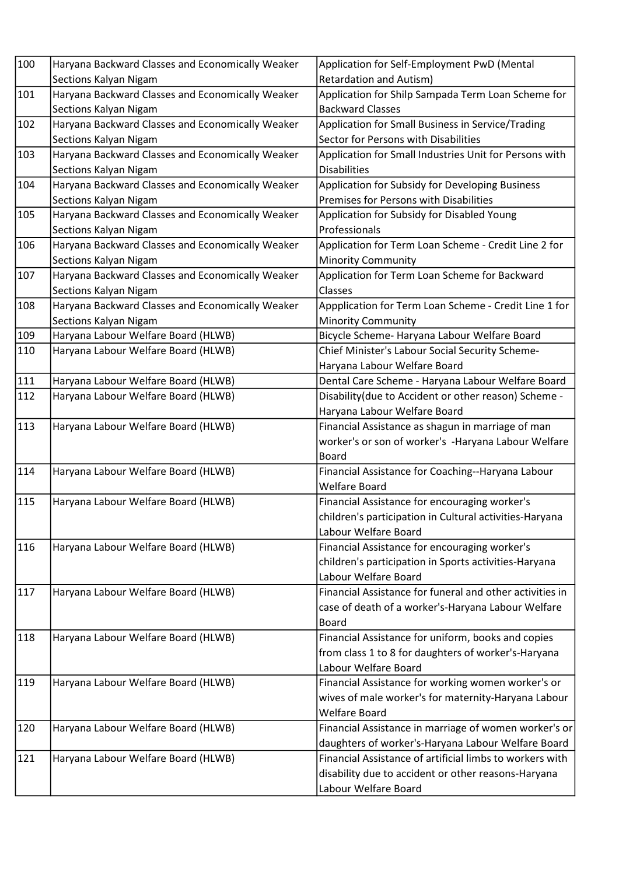| 100 | Haryana Backward Classes and Economically Weaker | Application for Self-Employment PwD (Mental                                     |
|-----|--------------------------------------------------|---------------------------------------------------------------------------------|
|     | Sections Kalyan Nigam                            | <b>Retardation and Autism)</b>                                                  |
| 101 | Haryana Backward Classes and Economically Weaker | Application for Shilp Sampada Term Loan Scheme for                              |
|     | Sections Kalyan Nigam                            | <b>Backward Classes</b>                                                         |
| 102 | Haryana Backward Classes and Economically Weaker | Application for Small Business in Service/Trading                               |
|     | Sections Kalyan Nigam                            | Sector for Persons with Disabilities                                            |
| 103 | Haryana Backward Classes and Economically Weaker | Application for Small Industries Unit for Persons with                          |
|     | Sections Kalyan Nigam                            | <b>Disabilities</b>                                                             |
| 104 | Haryana Backward Classes and Economically Weaker | Application for Subsidy for Developing Business                                 |
|     | Sections Kalyan Nigam                            | Premises for Persons with Disabilities                                          |
| 105 | Haryana Backward Classes and Economically Weaker | Application for Subsidy for Disabled Young                                      |
|     | Sections Kalyan Nigam                            | Professionals                                                                   |
| 106 | Haryana Backward Classes and Economically Weaker | Application for Term Loan Scheme - Credit Line 2 for                            |
|     | Sections Kalyan Nigam                            | <b>Minority Community</b>                                                       |
| 107 | Haryana Backward Classes and Economically Weaker | Application for Term Loan Scheme for Backward                                   |
|     | Sections Kalyan Nigam                            | Classes                                                                         |
| 108 | Haryana Backward Classes and Economically Weaker | Appplication for Term Loan Scheme - Credit Line 1 for                           |
|     | Sections Kalyan Nigam                            | <b>Minority Community</b>                                                       |
| 109 | Haryana Labour Welfare Board (HLWB)              | Bicycle Scheme- Haryana Labour Welfare Board                                    |
| 110 | Haryana Labour Welfare Board (HLWB)              | Chief Minister's Labour Social Security Scheme-                                 |
|     |                                                  | Haryana Labour Welfare Board                                                    |
| 111 | Haryana Labour Welfare Board (HLWB)              | Dental Care Scheme - Haryana Labour Welfare Board                               |
| 112 | Haryana Labour Welfare Board (HLWB)              | Disability (due to Accident or other reason) Scheme -                           |
|     |                                                  | Haryana Labour Welfare Board                                                    |
| 113 | Haryana Labour Welfare Board (HLWB)              | Financial Assistance as shagun in marriage of man                               |
|     |                                                  | worker's or son of worker's -Haryana Labour Welfare                             |
|     |                                                  | <b>Board</b>                                                                    |
| 114 | Haryana Labour Welfare Board (HLWB)              | Financial Assistance for Coaching--Haryana Labour                               |
| 115 |                                                  | <b>Welfare Board</b>                                                            |
|     | Haryana Labour Welfare Board (HLWB)              | Financial Assistance for encouraging worker's                                   |
|     |                                                  | children's participation in Cultural activities-Haryana<br>Labour Welfare Board |
| 116 |                                                  |                                                                                 |
|     | Haryana Labour Welfare Board (HLWB)              | Financial Assistance for encouraging worker's                                   |
|     |                                                  | children's participation in Sports activities-Haryana<br>Labour Welfare Board   |
| 117 | Haryana Labour Welfare Board (HLWB)              | Financial Assistance for funeral and other activities in                        |
|     |                                                  | case of death of a worker's-Haryana Labour Welfare                              |
|     |                                                  | <b>Board</b>                                                                    |
| 118 | Haryana Labour Welfare Board (HLWB)              | Financial Assistance for uniform, books and copies                              |
|     |                                                  | from class 1 to 8 for daughters of worker's-Haryana                             |
|     |                                                  | Labour Welfare Board                                                            |
| 119 | Haryana Labour Welfare Board (HLWB)              | Financial Assistance for working women worker's or                              |
|     |                                                  | wives of male worker's for maternity-Haryana Labour                             |
|     |                                                  | <b>Welfare Board</b>                                                            |
| 120 | Haryana Labour Welfare Board (HLWB)              | Financial Assistance in marriage of women worker's or                           |
|     |                                                  | daughters of worker's-Haryana Labour Welfare Board                              |
| 121 | Haryana Labour Welfare Board (HLWB)              | Financial Assistance of artificial limbs to workers with                        |
|     |                                                  | disability due to accident or other reasons-Haryana                             |
|     |                                                  | Labour Welfare Board                                                            |
|     |                                                  |                                                                                 |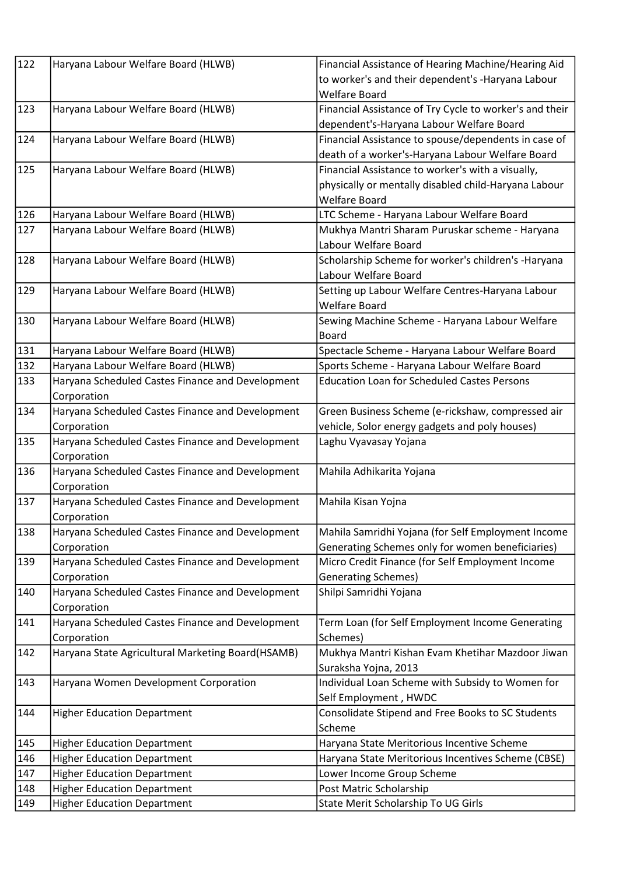| 122 | Haryana Labour Welfare Board (HLWB)               | Financial Assistance of Hearing Machine/Hearing Aid     |
|-----|---------------------------------------------------|---------------------------------------------------------|
|     |                                                   | to worker's and their dependent's -Haryana Labour       |
|     |                                                   | <b>Welfare Board</b>                                    |
| 123 | Haryana Labour Welfare Board (HLWB)               | Financial Assistance of Try Cycle to worker's and their |
|     |                                                   | dependent's-Haryana Labour Welfare Board                |
| 124 | Haryana Labour Welfare Board (HLWB)               | Financial Assistance to spouse/dependents in case of    |
|     |                                                   | death of a worker's-Haryana Labour Welfare Board        |
| 125 | Haryana Labour Welfare Board (HLWB)               | Financial Assistance to worker's with a visually,       |
|     |                                                   | physically or mentally disabled child-Haryana Labour    |
|     |                                                   | <b>Welfare Board</b>                                    |
| 126 | Haryana Labour Welfare Board (HLWB)               | LTC Scheme - Haryana Labour Welfare Board               |
| 127 | Haryana Labour Welfare Board (HLWB)               | Mukhya Mantri Sharam Puruskar scheme - Haryana          |
|     |                                                   | Labour Welfare Board                                    |
| 128 | Haryana Labour Welfare Board (HLWB)               | Scholarship Scheme for worker's children's -Haryana     |
|     |                                                   | Labour Welfare Board                                    |
| 129 | Haryana Labour Welfare Board (HLWB)               | Setting up Labour Welfare Centres-Haryana Labour        |
|     |                                                   | <b>Welfare Board</b>                                    |
| 130 | Haryana Labour Welfare Board (HLWB)               | Sewing Machine Scheme - Haryana Labour Welfare          |
|     |                                                   | <b>Board</b>                                            |
| 131 | Haryana Labour Welfare Board (HLWB)               | Spectacle Scheme - Haryana Labour Welfare Board         |
| 132 | Haryana Labour Welfare Board (HLWB)               | Sports Scheme - Haryana Labour Welfare Board            |
| 133 | Haryana Scheduled Castes Finance and Development  | <b>Education Loan for Scheduled Castes Persons</b>      |
|     | Corporation                                       |                                                         |
| 134 | Haryana Scheduled Castes Finance and Development  | Green Business Scheme (e-rickshaw, compressed air       |
|     | Corporation                                       | vehicle, Solor energy gadgets and poly houses)          |
| 135 | Haryana Scheduled Castes Finance and Development  | Laghu Vyavasay Yojana                                   |
|     | Corporation                                       |                                                         |
| 136 | Haryana Scheduled Castes Finance and Development  | Mahila Adhikarita Yojana                                |
|     | Corporation                                       |                                                         |
| 137 | Haryana Scheduled Castes Finance and Development  | Mahila Kisan Yojna                                      |
|     | Corporation                                       |                                                         |
| 138 | Haryana Scheduled Castes Finance and Development  | Mahila Samridhi Yojana (for Self Employment Income      |
|     | Corporation                                       | Generating Schemes only for women beneficiaries)        |
| 139 | Haryana Scheduled Castes Finance and Development  | Micro Credit Finance (for Self Employment Income        |
|     | Corporation                                       | <b>Generating Schemes)</b>                              |
| 140 | Haryana Scheduled Castes Finance and Development  | Shilpi Samridhi Yojana                                  |
|     | Corporation                                       |                                                         |
| 141 | Haryana Scheduled Castes Finance and Development  | Term Loan (for Self Employment Income Generating        |
|     | Corporation                                       | Schemes)                                                |
| 142 | Haryana State Agricultural Marketing Board(HSAMB) | Mukhya Mantri Kishan Evam Khetihar Mazdoor Jiwan        |
|     |                                                   | Suraksha Yojna, 2013                                    |
| 143 | Haryana Women Development Corporation             | Individual Loan Scheme with Subsidy to Women for        |
|     |                                                   | Self Employment, HWDC                                   |
| 144 | <b>Higher Education Department</b>                | Consolidate Stipend and Free Books to SC Students       |
|     |                                                   | Scheme                                                  |
| 145 | <b>Higher Education Department</b>                | Haryana State Meritorious Incentive Scheme              |
| 146 | <b>Higher Education Department</b>                | Haryana State Meritorious Incentives Scheme (CBSE)      |
| 147 | <b>Higher Education Department</b>                | Lower Income Group Scheme                               |
| 148 | <b>Higher Education Department</b>                | Post Matric Scholarship                                 |
| 149 | <b>Higher Education Department</b>                | State Merit Scholarship To UG Girls                     |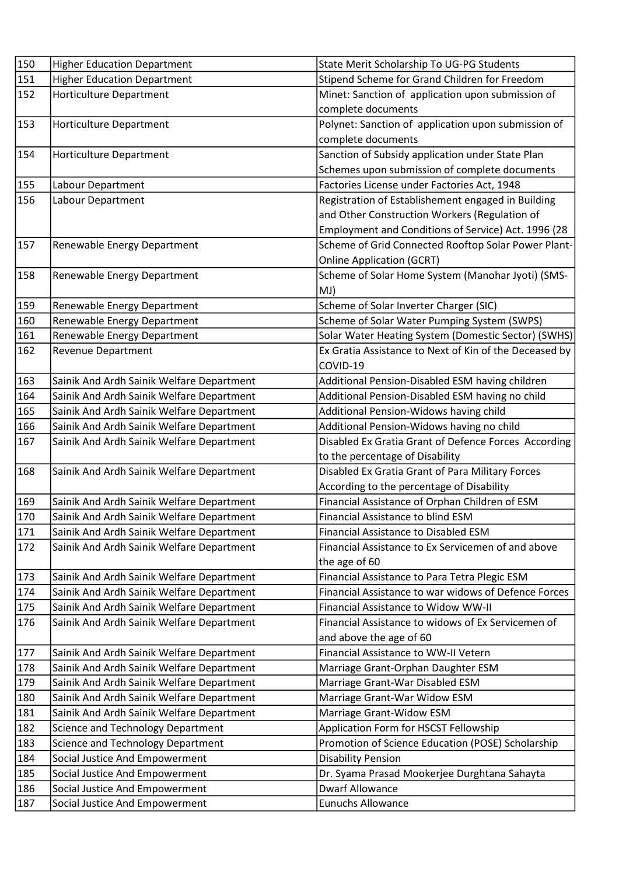| 150 | <b>Higher Education Department</b>        | State Merit Scholarship To UG-PG Students              |
|-----|-------------------------------------------|--------------------------------------------------------|
| 151 | <b>Higher Education Department</b>        | Stipend Scheme for Grand Children for Freedom          |
| 152 | <b>Horticulture Department</b>            | Minet: Sanction of application upon submission of      |
|     |                                           | complete documents                                     |
| 153 | Horticulture Department                   | Polynet: Sanction of application upon submission of    |
|     |                                           | complete documents                                     |
| 154 | Horticulture Department                   | Sanction of Subsidy application under State Plan       |
|     |                                           | Schemes upon submission of complete documents          |
| 155 | Labour Department                         | Factories License under Factories Act, 1948            |
| 156 | Labour Department                         | Registration of Establishement engaged in Building     |
|     |                                           | and Other Construction Workers (Regulation of          |
|     |                                           | Employment and Conditions of Service) Act. 1996 (28    |
| 157 | Renewable Energy Department               | Scheme of Grid Connected Rooftop Solar Power Plant-    |
|     |                                           | <b>Online Application (GCRT)</b>                       |
| 158 | Renewable Energy Department               | Scheme of Solar Home System (Manohar Jyoti) (SMS-      |
|     |                                           | MJ)                                                    |
| 159 | Renewable Energy Department               | Scheme of Solar Inverter Charger (SIC)                 |
| 160 | Renewable Energy Department               | Scheme of Solar Water Pumping System (SWPS)            |
| 161 | Renewable Energy Department               | Solar Water Heating System (Domestic Sector) (SWHS)    |
| 162 | <b>Revenue Department</b>                 | Ex Gratia Assistance to Next of Kin of the Deceased by |
|     |                                           | COVID-19                                               |
| 163 | Sainik And Ardh Sainik Welfare Department | Additional Pension-Disabled ESM having children        |
| 164 | Sainik And Ardh Sainik Welfare Department | Additional Pension-Disabled ESM having no child        |
| 165 | Sainik And Ardh Sainik Welfare Department | Additional Pension-Widows having child                 |
| 166 | Sainik And Ardh Sainik Welfare Department | Additional Pension-Widows having no child              |
| 167 | Sainik And Ardh Sainik Welfare Department | Disabled Ex Gratia Grant of Defence Forces According   |
|     |                                           | to the percentage of Disability                        |
| 168 | Sainik And Ardh Sainik Welfare Department | Disabled Ex Gratia Grant of Para Military Forces       |
|     |                                           | According to the percentage of Disability              |
| 169 | Sainik And Ardh Sainik Welfare Department | Financial Assistance of Orphan Children of ESM         |
| 170 | Sainik And Ardh Sainik Welfare Department | Financial Assistance to blind ESM                      |
| 171 | Sainik And Ardh Sainik Welfare Department | <b>Financial Assistance to Disabled ESM</b>            |
| 172 | Sainik And Ardh Sainik Welfare Department | Financial Assistance to Ex Servicemen of and above     |
|     |                                           | the age of 60                                          |
| 173 | Sainik And Ardh Sainik Welfare Department | Financial Assistance to Para Tetra Plegic ESM          |
| 174 | Sainik And Ardh Sainik Welfare Department | Financial Assistance to war widows of Defence Forces   |
| 175 | Sainik And Ardh Sainik Welfare Department | Financial Assistance to Widow WW-II                    |
| 176 | Sainik And Ardh Sainik Welfare Department | Financial Assistance to widows of Ex Servicemen of     |
|     |                                           | and above the age of 60                                |
| 177 | Sainik And Ardh Sainik Welfare Department | Financial Assistance to WW-II Vetern                   |
| 178 | Sainik And Ardh Sainik Welfare Department | Marriage Grant-Orphan Daughter ESM                     |
| 179 | Sainik And Ardh Sainik Welfare Department | Marriage Grant-War Disabled ESM                        |
| 180 | Sainik And Ardh Sainik Welfare Department | Marriage Grant-War Widow ESM                           |
| 181 | Sainik And Ardh Sainik Welfare Department | Marriage Grant-Widow ESM                               |
| 182 | <b>Science and Technology Department</b>  | Application Form for HSCST Fellowship                  |
| 183 | Science and Technology Department         | Promotion of Science Education (POSE) Scholarship      |
| 184 | Social Justice And Empowerment            | <b>Disability Pension</b>                              |
| 185 | Social Justice And Empowerment            | Dr. Syama Prasad Mookerjee Durghtana Sahayta           |
| 186 | Social Justice And Empowerment            | <b>Dwarf Allowance</b>                                 |
| 187 | Social Justice And Empowerment            | <b>Eunuchs Allowance</b>                               |